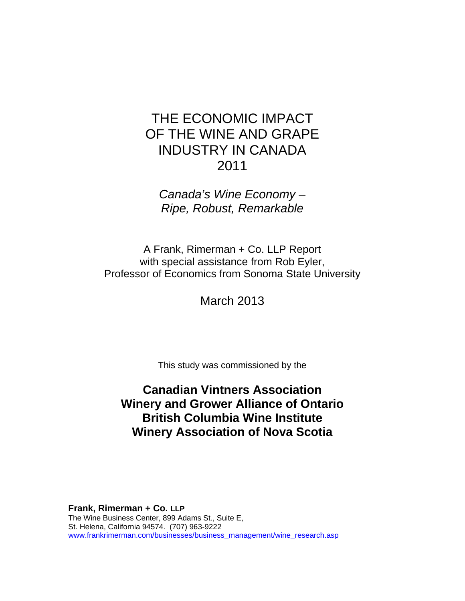*Canada's Wine Economy – Ripe, Robust, Remarkable* 

A Frank, Rimerman + Co. LLP Report with special assistance from Rob Eyler, Professor of Economics from Sonoma State University

March 2013

This study was commissioned by the

# **Canadian Vintners Association Winery and Grower Alliance of Ontario British Columbia Wine Institute Winery Association of Nova Scotia**

**Frank, Rimerman + Co. LLP** The Wine Business Center, 899 Adams St., Suite E, St. Helena, California 94574. (707) 963-9222 www.frankrimerman.com/businesses/business\_management/wine\_research.asp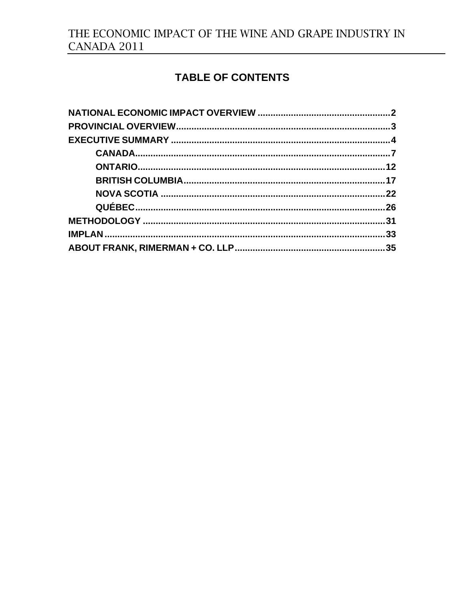# TABLE OF CONTENTS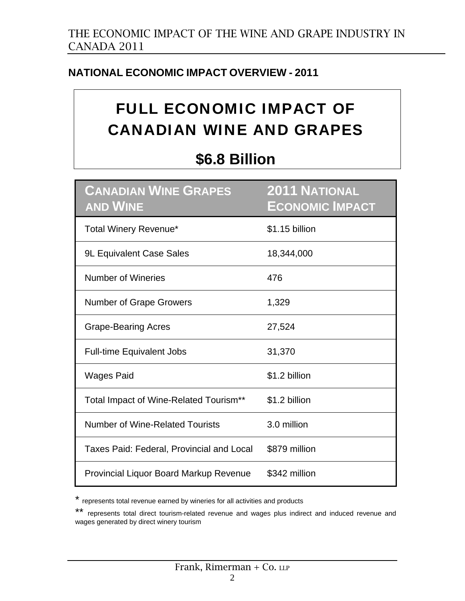# **NATIONAL ECONOMIC IMPACT OVERVIEW - 2011**

# FULL ECONOMIC IMPACT OF CANADIAN WINE AND GRAPES

# **\$6.8 Billion**

| <b>CANADIAN WINE GRAPES</b><br><b>AND WINE</b>   | <b>2011 NATIONAL</b><br><b>ECONOMIC IMPACT</b> |
|--------------------------------------------------|------------------------------------------------|
| Total Winery Revenue*                            | \$1.15 billion                                 |
| <b>9L Equivalent Case Sales</b>                  | 18,344,000                                     |
| <b>Number of Wineries</b>                        | 476                                            |
| <b>Number of Grape Growers</b>                   | 1,329                                          |
| <b>Grape-Bearing Acres</b>                       | 27,524                                         |
| <b>Full-time Equivalent Jobs</b>                 | 31,370                                         |
| <b>Wages Paid</b>                                | \$1.2 billion                                  |
| Total Impact of Wine-Related Tourism**           | \$1.2 billion                                  |
| Number of Wine-Related Tourists                  | 3.0 million                                    |
| <b>Taxes Paid: Federal, Provincial and Local</b> | \$879 million                                  |
| <b>Provincial Liquor Board Markup Revenue</b>    | \$342 million                                  |

\* represents total revenue earned by wineries for all activities and products

<sup>\*\*</sup> represents total direct tourism-related revenue and wages plus indirect and induced revenue and wages generated by direct winery tourism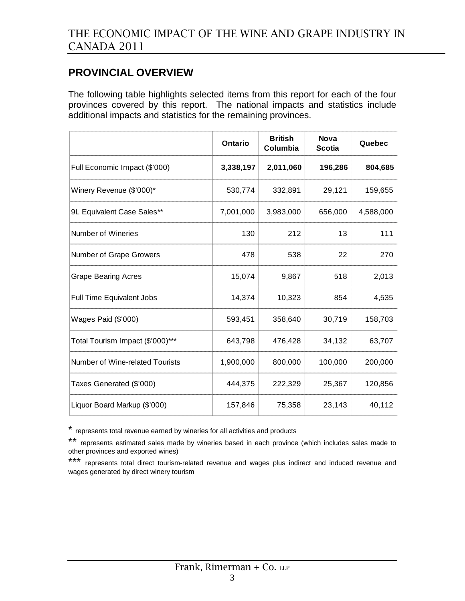## **PROVINCIAL OVERVIEW**

The following table highlights selected items from this report for each of the four provinces covered by this report. The national impacts and statistics include additional impacts and statistics for the remaining provinces.

|                                  | Ontario   | <b>British</b><br>Columbia | <b>Nova</b><br><b>Scotia</b> | Quebec    |
|----------------------------------|-----------|----------------------------|------------------------------|-----------|
| Full Economic Impact (\$'000)    | 3,338,197 | 2,011,060                  | 196,286                      | 804,685   |
| Winery Revenue (\$'000)*         | 530,774   | 332,891                    | 29,121                       | 159,655   |
| 9L Equivalent Case Sales**       | 7,001,000 | 3,983,000                  | 656,000                      | 4,588,000 |
| Number of Wineries               | 130       | 212                        | 13                           | 111       |
| Number of Grape Growers          | 478       | 538                        | 22                           | 270       |
| <b>Grape Bearing Acres</b>       | 15,074    | 9,867                      | 518                          | 2,013     |
| Full Time Equivalent Jobs        | 14,374    | 10,323                     | 854                          | 4,535     |
| Wages Paid (\$'000)              | 593,451   | 358,640                    | 30,719                       | 158,703   |
| Total Tourism Impact (\$'000)*** | 643,798   | 476,428                    | 34,132                       | 63,707    |
| Number of Wine-related Tourists  | 1,900,000 | 800,000                    | 100,000                      | 200,000   |
| Taxes Generated (\$'000)         | 444,375   | 222,329                    | 25,367                       | 120,856   |
| Liquor Board Markup (\$'000)     | 157,846   | 75,358                     | 23,143                       | 40,112    |

\* represents total revenue earned by wineries for all activities and products

\*\* represents estimated sales made by wineries based in each province (which includes sales made to other provinces and exported wines)

\*\*\* represents total direct tourism-related revenue and wages plus indirect and induced revenue and wages generated by direct winery tourism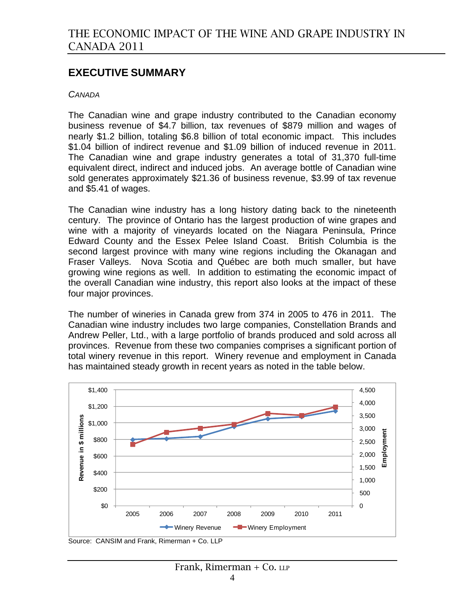### **EXECUTIVE SUMMARY**

#### *CANADA*

The Canadian wine and grape industry contributed to the Canadian economy business revenue of \$4.7 billion, tax revenues of \$879 million and wages of nearly \$1.2 billion, totaling \$6.8 billion of total economic impact. This includes \$1.04 billion of indirect revenue and \$1.09 billion of induced revenue in 2011. The Canadian wine and grape industry generates a total of 31,370 full-time equivalent direct, indirect and induced jobs. An average bottle of Canadian wine sold generates approximately \$21.36 of business revenue, \$3.99 of tax revenue and \$5.41 of wages.

The Canadian wine industry has a long history dating back to the nineteenth century. The province of Ontario has the largest production of wine grapes and wine with a majority of vineyards located on the Niagara Peninsula, Prince Edward County and the Essex Pelee Island Coast. British Columbia is the second largest province with many wine regions including the Okanagan and Fraser Valleys. Nova Scotia and Québec are both much smaller, but have growing wine regions as well. In addition to estimating the economic impact of the overall Canadian wine industry, this report also looks at the impact of these four major provinces.

The number of wineries in Canada grew from 374 in 2005 to 476 in 2011. The Canadian wine industry includes two large companies, Constellation Brands and Andrew Peller, Ltd., with a large portfolio of brands produced and sold across all provinces. Revenue from these two companies comprises a significant portion of total winery revenue in this report. Winery revenue and employment in Canada has maintained steady growth in recent years as noted in the table below.



Source: CANSIM and Frank, Rimerman + Co. LLP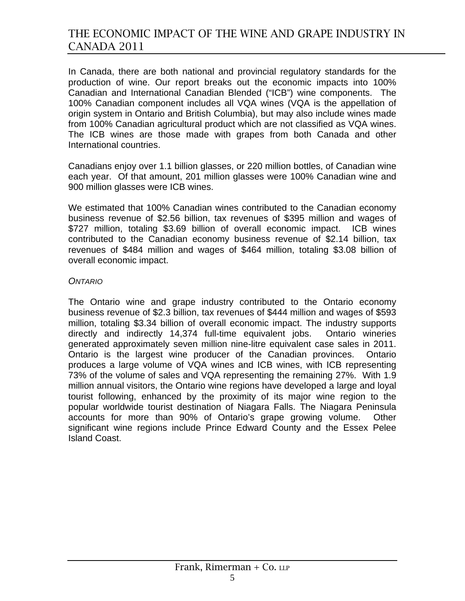In Canada, there are both national and provincial regulatory standards for the production of wine. Our report breaks out the economic impacts into 100% Canadian and International Canadian Blended ("ICB") wine components. The 100% Canadian component includes all VQA wines (VQA is the appellation of origin system in Ontario and British Columbia), but may also include wines made from 100% Canadian agricultural product which are not classified as VQA wines. The ICB wines are those made with grapes from both Canada and other International countries.

Canadians enjoy over 1.1 billion glasses, or 220 million bottles, of Canadian wine each year. Of that amount, 201 million glasses were 100% Canadian wine and 900 million glasses were ICB wines.

We estimated that 100% Canadian wines contributed to the Canadian economy business revenue of \$2.56 billion, tax revenues of \$395 million and wages of \$727 million, totaling \$3.69 billion of overall economic impact. ICB wines contributed to the Canadian economy business revenue of \$2.14 billion, tax revenues of \$484 million and wages of \$464 million, totaling \$3.08 billion of overall economic impact.

#### *ONTARIO*

The Ontario wine and grape industry contributed to the Ontario economy business revenue of \$2.3 billion, tax revenues of \$444 million and wages of \$593 million, totaling \$3.34 billion of overall economic impact. The industry supports directly and indirectly 14,374 full-time equivalent jobs. Ontario wineries generated approximately seven million nine-litre equivalent case sales in 2011. Ontario is the largest wine producer of the Canadian provinces. Ontario produces a large volume of VQA wines and ICB wines, with ICB representing 73% of the volume of sales and VQA representing the remaining 27%. With 1.9 million annual visitors, the Ontario wine regions have developed a large and loyal tourist following, enhanced by the proximity of its major wine region to the popular worldwide tourist destination of Niagara Falls. The Niagara Peninsula accounts for more than 90% of Ontario's grape growing volume. Other significant wine regions include Prince Edward County and the Essex Pelee Island Coast.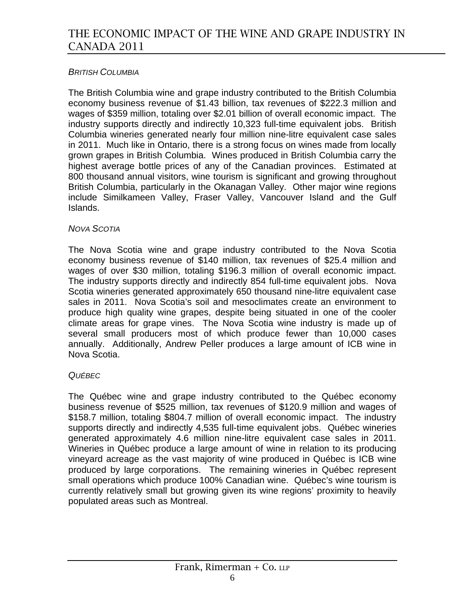### *BRITISH COLUMBIA*

The British Columbia wine and grape industry contributed to the British Columbia economy business revenue of \$1.43 billion, tax revenues of \$222.3 million and wages of \$359 million, totaling over \$2.01 billion of overall economic impact. The industry supports directly and indirectly 10,323 full-time equivalent jobs. British Columbia wineries generated nearly four million nine-litre equivalent case sales in 2011. Much like in Ontario, there is a strong focus on wines made from locally grown grapes in British Columbia. Wines produced in British Columbia carry the highest average bottle prices of any of the Canadian provinces. Estimated at 800 thousand annual visitors, wine tourism is significant and growing throughout British Columbia, particularly in the Okanagan Valley. Other major wine regions include Similkameen Valley, Fraser Valley, Vancouver Island and the Gulf Islands.

### *NOVA SCOTIA*

The Nova Scotia wine and grape industry contributed to the Nova Scotia economy business revenue of \$140 million, tax revenues of \$25.4 million and wages of over \$30 million, totaling \$196.3 million of overall economic impact. The industry supports directly and indirectly 854 full-time equivalent jobs. Nova Scotia wineries generated approximately 650 thousand nine-litre equivalent case sales in 2011. Nova Scotia's soil and mesoclimates create an environment to produce high quality wine grapes, despite being situated in one of the cooler climate areas for grape vines. The Nova Scotia wine industry is made up of several small producers most of which produce fewer than 10,000 cases annually. Additionally, Andrew Peller produces a large amount of ICB wine in Nova Scotia.

### *QUÉBEC*

The Québec wine and grape industry contributed to the Québec economy business revenue of \$525 million, tax revenues of \$120.9 million and wages of \$158.7 million, totaling \$804.7 million of overall economic impact. The industry supports directly and indirectly 4,535 full-time equivalent jobs. Québec wineries generated approximately 4.6 million nine-litre equivalent case sales in 2011. Wineries in Québec produce a large amount of wine in relation to its producing vineyard acreage as the vast majority of wine produced in Québec is ICB wine produced by large corporations. The remaining wineries in Québec represent small operations which produce 100% Canadian wine. Québec's wine tourism is currently relatively small but growing given its wine regions' proximity to heavily populated areas such as Montreal.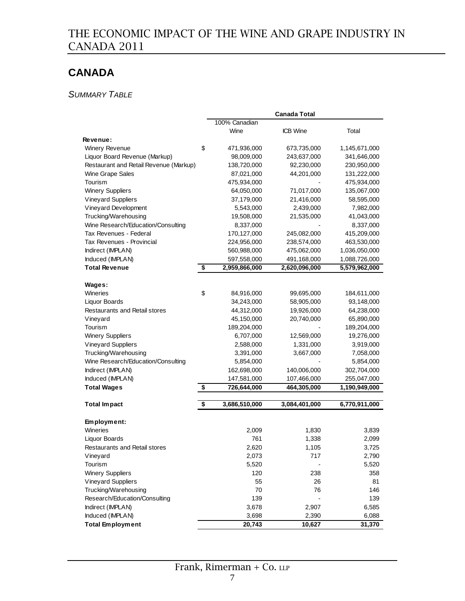# **CANADA**

### *SUMMARY TABLE*

|                                        |                     | <b>Canada Total</b> |               |
|----------------------------------------|---------------------|---------------------|---------------|
|                                        | 100% Canadian       |                     |               |
|                                        | Wine                | <b>ICB Wine</b>     | Total         |
| <b>Revenue:</b>                        |                     |                     |               |
| <b>Winery Revenue</b>                  | \$<br>471,936,000   | 673,735,000         | 1,145,671,000 |
| Liquor Board Revenue (Markup)          | 98,009,000          | 243,637,000         | 341,646,000   |
| Restaurant and Retail Revenue (Markup) | 138,720,000         | 92,230,000          | 230,950,000   |
| Wine Grape Sales                       | 87,021,000          | 44,201,000          | 131,222,000   |
| Tourism                                | 475,934,000         |                     | 475,934,000   |
| <b>Winery Suppliers</b>                | 64,050,000          | 71,017,000          | 135,067,000   |
| <b>Vineyard Suppliers</b>              | 37,179,000          | 21,416,000          | 58,595,000    |
| Vineyard Development                   | 5,543,000           | 2,439,000           | 7,982,000     |
| Trucking/Warehousing                   | 19,508,000          | 21,535,000          | 41,043,000    |
| Wine Research/Education/Consulting     | 8,337,000           |                     | 8,337,000     |
| Tax Revenues - Federal                 | 170,127,000         | 245,082,000         | 415,209,000   |
| Tax Revenues - Provincial              | 224,956,000         | 238,574,000         | 463,530,000   |
| Indirect (IMPLAN)                      | 560,988,000         | 475,062,000         | 1,036,050,000 |
| Induced (IMPLAN)                       | 597,558,000         | 491,168,000         | 1,088,726,000 |
| <b>Total Revenue</b>                   | \$<br>2,959,866,000 | 2,620,096,000       | 5,579,962,000 |
|                                        |                     |                     |               |
| Wages:                                 |                     |                     |               |
| Wineries                               | \$<br>84,916,000    | 99,695,000          | 184,611,000   |
| <b>Liquor Boards</b>                   | 34,243,000          | 58,905,000          | 93,148,000    |
| <b>Restaurants and Retail stores</b>   | 44,312,000          | 19,926,000          | 64,238,000    |
| Vineyard                               | 45,150,000          | 20,740,000          | 65,890,000    |
| Tourism                                | 189,204,000         |                     | 189,204,000   |
| <b>Winery Suppliers</b>                | 6,707,000           | 12,569,000          | 19,276,000    |
| <b>Vineyard Suppliers</b>              | 2,588,000           | 1,331,000           | 3,919,000     |
| Trucking/Warehousing                   | 3,391,000           | 3,667,000           | 7,058,000     |
| Wine Research/Education/Consulting     | 5,854,000           |                     | 5,854,000     |
| Indirect (IMPLAN)                      | 162,698,000         | 140,006,000         | 302,704,000   |
| Induced (IMPLAN)                       | 147,581,000         | 107,466,000         | 255,047,000   |
| <b>Total Wages</b>                     | \$<br>726,644,000   | 464,305,000         | 1,190,949,000 |
|                                        |                     |                     |               |
| <b>Total Impact</b>                    | \$<br>3,686,510,000 | 3,084,401,000       | 6,770,911,000 |
| Employment:                            |                     |                     |               |
| Wineries                               | 2,009               | 1,830               | 3,839         |
| Liquor Boards                          | 761                 | 1,338               | 2,099         |
| <b>Restaurants and Retail stores</b>   | 2,620               | 1,105               | 3,725         |
| Vineyard                               | 2,073               | 717                 | 2,790         |
| Tourism                                | 5,520               |                     | 5,520         |
| <b>Winery Suppliers</b>                | 120                 | 238                 | 358           |
| <b>Vineyard Suppliers</b>              | 55                  | 26                  | 81            |
| Trucking/Warehousing                   | 70                  | 76                  | 146           |
| Research/Education/Consulting          | 139                 |                     | 139           |
| Indirect (IMPLAN)                      | 3,678               | 2,907               | 6,585         |
| Induced (IMPLAN)                       | 3,698               | 2,390               | 6,088         |
| <b>Total Employment</b>                | 20,743              | 10,627              | 31,370        |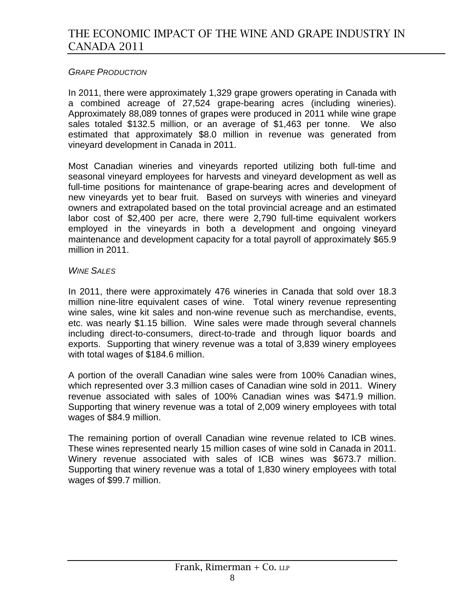### *GRAPE PRODUCTION*

In 2011, there were approximately 1,329 grape growers operating in Canada with a combined acreage of 27,524 grape-bearing acres (including wineries). Approximately 88,089 tonnes of grapes were produced in 2011 while wine grape sales totaled \$132.5 million, or an average of \$1,463 per tonne. We also estimated that approximately \$8.0 million in revenue was generated from vineyard development in Canada in 2011.

Most Canadian wineries and vineyards reported utilizing both full-time and seasonal vineyard employees for harvests and vineyard development as well as full-time positions for maintenance of grape-bearing acres and development of new vineyards yet to bear fruit. Based on surveys with wineries and vineyard owners and extrapolated based on the total provincial acreage and an estimated labor cost of \$2,400 per acre, there were 2,790 full-time equivalent workers employed in the vineyards in both a development and ongoing vineyard maintenance and development capacity for a total payroll of approximately \$65.9 million in 2011.

#### *WINE SALES*

In 2011, there were approximately 476 wineries in Canada that sold over 18.3 million nine-litre equivalent cases of wine. Total winery revenue representing wine sales, wine kit sales and non-wine revenue such as merchandise, events, etc. was nearly \$1.15 billion. Wine sales were made through several channels including direct-to-consumers, direct-to-trade and through liquor boards and exports. Supporting that winery revenue was a total of 3,839 winery employees with total wages of \$184.6 million.

A portion of the overall Canadian wine sales were from 100% Canadian wines, which represented over 3.3 million cases of Canadian wine sold in 2011. Winery revenue associated with sales of 100% Canadian wines was \$471.9 million. Supporting that winery revenue was a total of 2,009 winery employees with total wages of \$84.9 million.

The remaining portion of overall Canadian wine revenue related to ICB wines. These wines represented nearly 15 million cases of wine sold in Canada in 2011. Winery revenue associated with sales of ICB wines was \$673.7 million. Supporting that winery revenue was a total of 1,830 winery employees with total wages of \$99.7 million.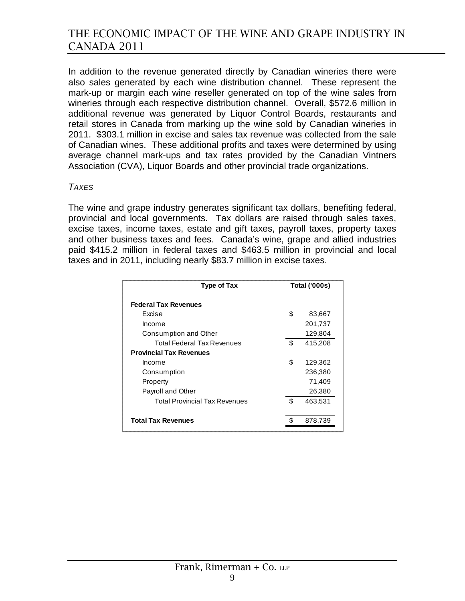In addition to the revenue generated directly by Canadian wineries there were also sales generated by each wine distribution channel. These represent the mark-up or margin each wine reseller generated on top of the wine sales from wineries through each respective distribution channel. Overall, \$572.6 million in additional revenue was generated by Liquor Control Boards, restaurants and retail stores in Canada from marking up the wine sold by Canadian wineries in 2011. \$303.1 million in excise and sales tax revenue was collected from the sale of Canadian wines. These additional profits and taxes were determined by using average channel mark-ups and tax rates provided by the Canadian Vintners Association (CVA), Liquor Boards and other provincial trade organizations.

#### *TAXES*

The wine and grape industry generates significant tax dollars, benefiting federal, provincial and local governments. Tax dollars are raised through sales taxes, excise taxes, income taxes, estate and gift taxes, payroll taxes, property taxes and other business taxes and fees. Canada's wine, grape and allied industries paid \$415.2 million in federal taxes and \$463.5 million in provincial and local taxes and in 2011, including nearly \$83.7 million in excise taxes.

| <b>Type of Tax</b>                   | <b>Total ('000s)</b> |         |
|--------------------------------------|----------------------|---------|
| <b>Federal Tax Revenues</b>          |                      |         |
| Excise                               | \$                   | 83,667  |
| Income                               |                      | 201,737 |
| Consumption and Other                |                      | 129,804 |
| <b>Total Federal Tax Revenues</b>    | \$                   | 415,208 |
| <b>Provincial Tax Revenues</b>       |                      |         |
| Income                               | \$                   | 129,362 |
| Consumption                          |                      | 236,380 |
| Property                             |                      | 71,409  |
| Payroll and Other                    |                      | 26,380  |
| <b>Total Provincial Tax Revenues</b> | \$                   | 463,531 |
| <b>Total Tax Revenues</b>            |                      | 878,739 |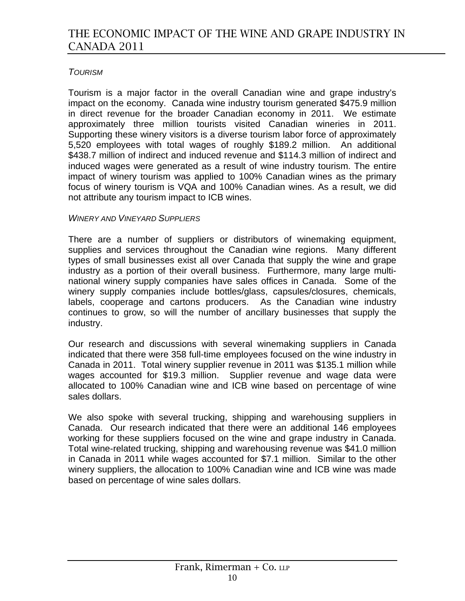### *TOURISM*

Tourism is a major factor in the overall Canadian wine and grape industry's impact on the economy. Canada wine industry tourism generated \$475.9 million in direct revenue for the broader Canadian economy in 2011. We estimate approximately three million tourists visited Canadian wineries in 2011. Supporting these winery visitors is a diverse tourism labor force of approximately 5,520 employees with total wages of roughly \$189.2 million. An additional \$438.7 million of indirect and induced revenue and \$114.3 million of indirect and induced wages were generated as a result of wine industry tourism. The entire impact of winery tourism was applied to 100% Canadian wines as the primary focus of winery tourism is VQA and 100% Canadian wines. As a result, we did not attribute any tourism impact to ICB wines.

#### *WINERY AND VINEYARD SUPPLIERS*

There are a number of suppliers or distributors of winemaking equipment, supplies and services throughout the Canadian wine regions. Many different types of small businesses exist all over Canada that supply the wine and grape industry as a portion of their overall business. Furthermore, many large multinational winery supply companies have sales offices in Canada. Some of the winery supply companies include bottles/glass, capsules/closures, chemicals, labels, cooperage and cartons producers. As the Canadian wine industry continues to grow, so will the number of ancillary businesses that supply the industry.

Our research and discussions with several winemaking suppliers in Canada indicated that there were 358 full-time employees focused on the wine industry in Canada in 2011. Total winery supplier revenue in 2011 was \$135.1 million while wages accounted for \$19.3 million. Supplier revenue and wage data were allocated to 100% Canadian wine and ICB wine based on percentage of wine sales dollars.

We also spoke with several trucking, shipping and warehousing suppliers in Canada. Our research indicated that there were an additional 146 employees working for these suppliers focused on the wine and grape industry in Canada. Total wine-related trucking, shipping and warehousing revenue was \$41.0 million in Canada in 2011 while wages accounted for \$7.1 million. Similar to the other winery suppliers, the allocation to 100% Canadian wine and ICB wine was made based on percentage of wine sales dollars.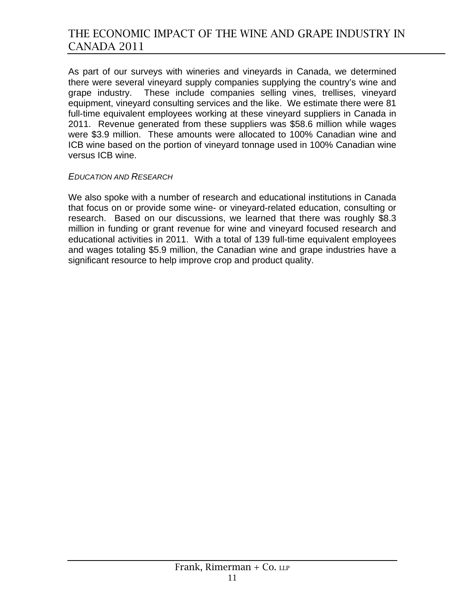As part of our surveys with wineries and vineyards in Canada, we determined there were several vineyard supply companies supplying the country's wine and grape industry. These include companies selling vines, trellises, vineyard equipment, vineyard consulting services and the like. We estimate there were 81 full-time equivalent employees working at these vineyard suppliers in Canada in 2011. Revenue generated from these suppliers was \$58.6 million while wages were \$3.9 million. These amounts were allocated to 100% Canadian wine and ICB wine based on the portion of vineyard tonnage used in 100% Canadian wine versus ICB wine.

#### *EDUCATION AND RESEARCH*

We also spoke with a number of research and educational institutions in Canada that focus on or provide some wine- or vineyard-related education, consulting or research. Based on our discussions, we learned that there was roughly \$8.3 million in funding or grant revenue for wine and vineyard focused research and educational activities in 2011. With a total of 139 full-time equivalent employees and wages totaling \$5.9 million, the Canadian wine and grape industries have a significant resource to help improve crop and product quality.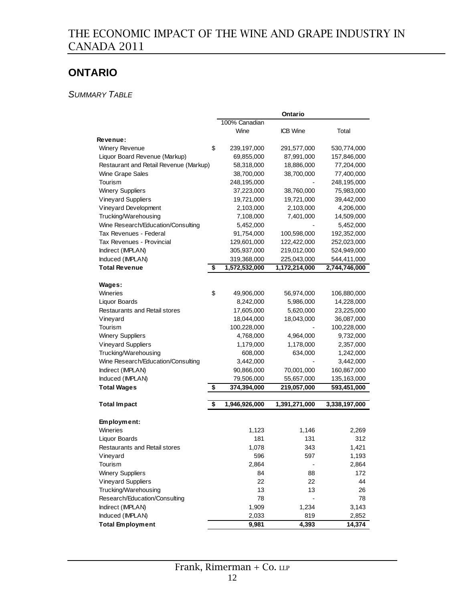# **ONTARIO**

*SUMMARY TABLE*

|                                        |                   | <b>Ontario</b>  |               |
|----------------------------------------|-------------------|-----------------|---------------|
|                                        | 100% Canadian     |                 |               |
|                                        | Wine              | <b>ICB</b> Wine | Total         |
| Revenue:                               |                   |                 |               |
| <b>Winery Revenue</b>                  | \$<br>239,197,000 | 291,577,000     | 530,774,000   |
| Liquor Board Revenue (Markup)          | 69,855,000        | 87,991,000      | 157,846,000   |
| Restaurant and Retail Revenue (Markup) | 58,318,000        | 18,886,000      | 77,204,000    |
| Wine Grape Sales                       | 38,700,000        | 38,700,000      | 77,400,000    |
| Tourism                                | 248,195,000       |                 | 248,195,000   |
| <b>Winery Suppliers</b>                | 37,223,000        | 38,760,000      | 75,983,000    |
| <b>Vineyard Suppliers</b>              | 19,721,000        | 19,721,000      | 39,442,000    |
| Vineyard Development                   | 2,103,000         | 2,103,000       | 4,206,000     |
| Trucking/Warehousing                   | 7,108,000         | 7,401,000       | 14,509,000    |
| Wine Research/Education/Consulting     | 5,452,000         |                 | 5,452,000     |
| Tax Revenues - Federal                 | 91,754,000        | 100,598,000     | 192,352,000   |
| Tax Revenues - Provincial              | 129,601,000       | 122,422,000     | 252,023,000   |
| Indirect (IMPLAN)                      | 305,937,000       | 219,012,000     | 524,949,000   |
| Induced (IMPLAN)                       | 319,368,000       | 225,043,000     | 544,411,000   |
| <b>Total Revenue</b><br>\$             | 1,572,532,000     | 1,172,214,000   | 2,744,746,000 |
|                                        |                   |                 |               |
| Wages:                                 |                   |                 |               |
| Wineries                               | \$<br>49,906,000  | 56,974,000      | 106,880,000   |
| Liquor Boards                          | 8,242,000         | 5,986,000       | 14,228,000    |
| <b>Restaurants and Retail stores</b>   | 17,605,000        | 5,620,000       | 23,225,000    |
| Vineyard                               | 18,044,000        | 18,043,000      | 36,087,000    |
| Tourism                                | 100,228,000       |                 | 100,228,000   |
| <b>Winery Suppliers</b>                | 4,768,000         | 4,964,000       | 9,732,000     |
| <b>Vineyard Suppliers</b>              | 1,179,000         | 1,178,000       | 2,357,000     |
| Trucking/Warehousing                   | 608,000           | 634,000         | 1,242,000     |
| Wine Research/Education/Consulting     | 3,442,000         |                 | 3,442,000     |
| Indirect (IMPLAN)                      | 90,866,000        | 70,001,000      | 160,867,000   |
| Induced (IMPLAN)                       | 79,506,000        | 55,657,000      | 135,163,000   |
| <b>Total Wages</b>                     | \$<br>374,394,000 | 219,057,000     | 593,451,000   |
|                                        |                   |                 |               |
| <b>Total Impact</b><br>\$              | 1,946,926,000     | 1,391,271,000   | 3,338,197,000 |
|                                        |                   |                 |               |
| Employment:<br>Wineries                | 1,123             | 1,146           | 2,269         |
| <b>Liquor Boards</b>                   | 181               | 131             | 312           |
| Restaurants and Retail stores          | 1,078             | 343             | 1,421         |
| Vineyard                               | 596               | 597             | 1,193         |
| Tourism                                | 2,864             |                 | 2,864         |
| <b>Winery Suppliers</b>                | 84                | 88              | 172           |
| <b>Vineyard Suppliers</b>              | 22                | 22              | 44            |
| Trucking/Warehousing                   | 13                | 13              | 26            |
| Research/Education/Consulting          | 78                |                 | 78            |
| Indirect (IMPLAN)                      | 1,909             | 1,234           | 3,143         |
| Induced (IMPLAN)                       | 2,033             | 819             | 2,852         |
| <b>Total Employment</b>                | 9,981             | 4,393           | 14,374        |
|                                        |                   |                 |               |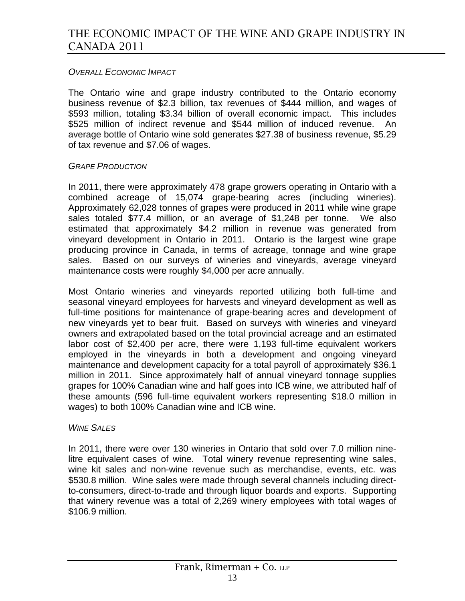### *OVERALL ECONOMIC IMPACT*

The Ontario wine and grape industry contributed to the Ontario economy business revenue of \$2.3 billion, tax revenues of \$444 million, and wages of \$593 million, totaling \$3.34 billion of overall economic impact. This includes \$525 million of indirect revenue and \$544 million of induced revenue. An average bottle of Ontario wine sold generates \$27.38 of business revenue, \$5.29 of tax revenue and \$7.06 of wages.

### *GRAPE PRODUCTION*

In 2011, there were approximately 478 grape growers operating in Ontario with a combined acreage of 15,074 grape-bearing acres (including wineries). Approximately 62,028 tonnes of grapes were produced in 2011 while wine grape sales totaled \$77.4 million, or an average of \$1,248 per tonne. We also estimated that approximately \$4.2 million in revenue was generated from vineyard development in Ontario in 2011. Ontario is the largest wine grape producing province in Canada, in terms of acreage, tonnage and wine grape sales. Based on our surveys of wineries and vineyards, average vineyard maintenance costs were roughly \$4,000 per acre annually.

Most Ontario wineries and vineyards reported utilizing both full-time and seasonal vineyard employees for harvests and vineyard development as well as full-time positions for maintenance of grape-bearing acres and development of new vineyards yet to bear fruit. Based on surveys with wineries and vineyard owners and extrapolated based on the total provincial acreage and an estimated labor cost of \$2,400 per acre, there were 1,193 full-time equivalent workers employed in the vineyards in both a development and ongoing vineyard maintenance and development capacity for a total payroll of approximately \$36.1 million in 2011. Since approximately half of annual vineyard tonnage supplies grapes for 100% Canadian wine and half goes into ICB wine, we attributed half of these amounts (596 full-time equivalent workers representing \$18.0 million in wages) to both 100% Canadian wine and ICB wine.

#### *WINE SALES*

In 2011, there were over 130 wineries in Ontario that sold over 7.0 million ninelitre equivalent cases of wine. Total winery revenue representing wine sales, wine kit sales and non-wine revenue such as merchandise, events, etc. was \$530.8 million. Wine sales were made through several channels including directto-consumers, direct-to-trade and through liquor boards and exports. Supporting that winery revenue was a total of 2,269 winery employees with total wages of \$106.9 million.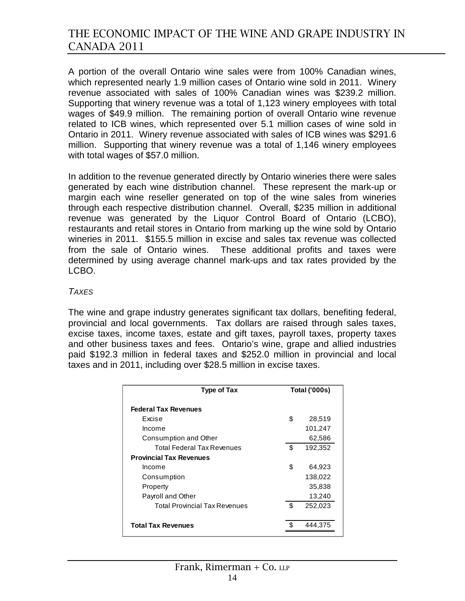A portion of the overall Ontario wine sales were from 100% Canadian wines, which represented nearly 1.9 million cases of Ontario wine sold in 2011. Winery revenue associated with sales of 100% Canadian wines was \$239.2 million. Supporting that winery revenue was a total of 1,123 winery employees with total wages of \$49.9 million. The remaining portion of overall Ontario wine revenue related to ICB wines, which represented over 5.1 million cases of wine sold in Ontario in 2011. Winery revenue associated with sales of ICB wines was \$291.6 million. Supporting that winery revenue was a total of 1,146 winery employees with total wages of \$57.0 million.

In addition to the revenue generated directly by Ontario wineries there were sales generated by each wine distribution channel. These represent the mark-up or margin each wine reseller generated on top of the wine sales from wineries through each respective distribution channel. Overall, \$235 million in additional revenue was generated by the Liquor Control Board of Ontario (LCBO), restaurants and retail stores in Ontario from marking up the wine sold by Ontario wineries in 2011. \$155.5 million in excise and sales tax revenue was collected from the sale of Ontario wines. These additional profits and taxes were determined by using average channel mark-ups and tax rates provided by the LCBO.

#### *TAXES*

The wine and grape industry generates significant tax dollars, benefiting federal, provincial and local governments. Tax dollars are raised through sales taxes, excise taxes, income taxes, estate and gift taxes, payroll taxes, property taxes and other business taxes and fees. Ontario's wine, grape and allied industries paid \$192.3 million in federal taxes and \$252.0 million in provincial and local taxes and in 2011, including over \$28.5 million in excise taxes.

| <b>Type of Tax</b>                   | <b>Total ('000s)</b> |         |
|--------------------------------------|----------------------|---------|
| <b>Federal Tax Revenues</b>          |                      |         |
| Excise                               | \$                   | 28,519  |
| Income                               |                      | 101,247 |
| Consumption and Other                |                      | 62,586  |
| Total Federal Tax Revenues           | \$                   | 192,352 |
| <b>Provincial Tax Revenues</b>       |                      |         |
| Income                               | \$                   | 64,923  |
| Consumption                          |                      | 138,022 |
| Property                             |                      | 35,838  |
| Payroll and Other                    |                      | 13,240  |
| <b>Total Provincial Tax Revenues</b> | \$                   | 252,023 |
|                                      |                      |         |
| <b>Total Tax Revenues</b>            |                      | 444.375 |
|                                      |                      |         |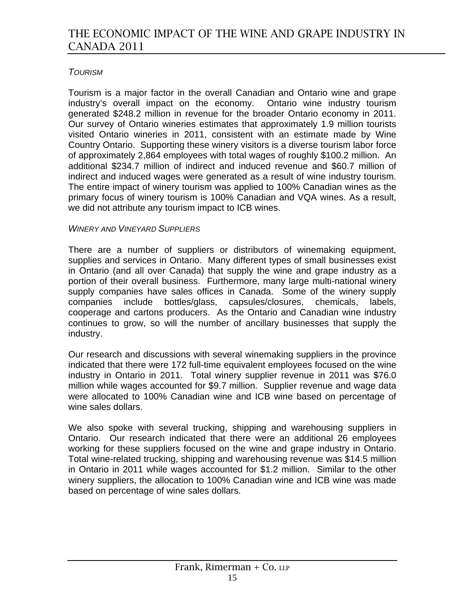### *TOURISM*

Tourism is a major factor in the overall Canadian and Ontario wine and grape industry's overall impact on the economy. Ontario wine industry tourism generated \$248.2 million in revenue for the broader Ontario economy in 2011. Our survey of Ontario wineries estimates that approximately 1.9 million tourists visited Ontario wineries in 2011, consistent with an estimate made by Wine Country Ontario. Supporting these winery visitors is a diverse tourism labor force of approximately 2,864 employees with total wages of roughly \$100.2 million. An additional \$234.7 million of indirect and induced revenue and \$60.7 million of indirect and induced wages were generated as a result of wine industry tourism. The entire impact of winery tourism was applied to 100% Canadian wines as the primary focus of winery tourism is 100% Canadian and VQA wines. As a result, we did not attribute any tourism impact to ICB wines.

#### *WINERY AND VINEYARD SUPPLIERS*

There are a number of suppliers or distributors of winemaking equipment, supplies and services in Ontario. Many different types of small businesses exist in Ontario (and all over Canada) that supply the wine and grape industry as a portion of their overall business. Furthermore, many large multi-national winery supply companies have sales offices in Canada. Some of the winery supply companies include bottles/glass, capsules/closures, chemicals, labels, cooperage and cartons producers. As the Ontario and Canadian wine industry continues to grow, so will the number of ancillary businesses that supply the industry.

Our research and discussions with several winemaking suppliers in the province indicated that there were 172 full-time equivalent employees focused on the wine industry in Ontario in 2011. Total winery supplier revenue in 2011 was \$76.0 million while wages accounted for \$9.7 million. Supplier revenue and wage data were allocated to 100% Canadian wine and ICB wine based on percentage of wine sales dollars.

We also spoke with several trucking, shipping and warehousing suppliers in Ontario. Our research indicated that there were an additional 26 employees working for these suppliers focused on the wine and grape industry in Ontario. Total wine-related trucking, shipping and warehousing revenue was \$14.5 million in Ontario in 2011 while wages accounted for \$1.2 million. Similar to the other winery suppliers, the allocation to 100% Canadian wine and ICB wine was made based on percentage of wine sales dollars.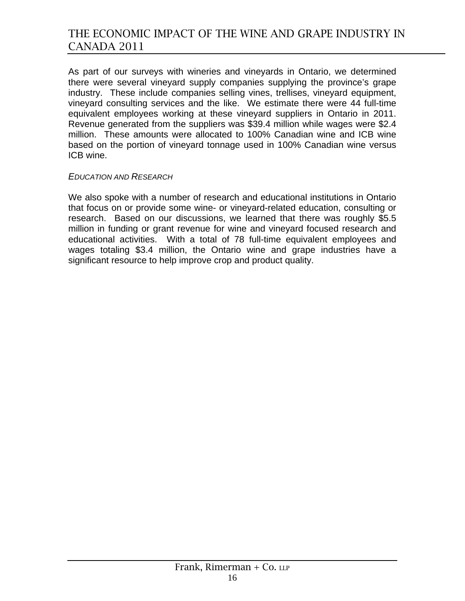As part of our surveys with wineries and vineyards in Ontario, we determined there were several vineyard supply companies supplying the province's grape industry. These include companies selling vines, trellises, vineyard equipment, vineyard consulting services and the like. We estimate there were 44 full-time equivalent employees working at these vineyard suppliers in Ontario in 2011. Revenue generated from the suppliers was \$39.4 million while wages were \$2.4 million. These amounts were allocated to 100% Canadian wine and ICB wine based on the portion of vineyard tonnage used in 100% Canadian wine versus ICB wine.

#### *EDUCATION AND RESEARCH*

We also spoke with a number of research and educational institutions in Ontario that focus on or provide some wine- or vineyard-related education, consulting or research. Based on our discussions, we learned that there was roughly \$5.5 million in funding or grant revenue for wine and vineyard focused research and educational activities. With a total of 78 full-time equivalent employees and wages totaling \$3.4 million, the Ontario wine and grape industries have a significant resource to help improve crop and product quality.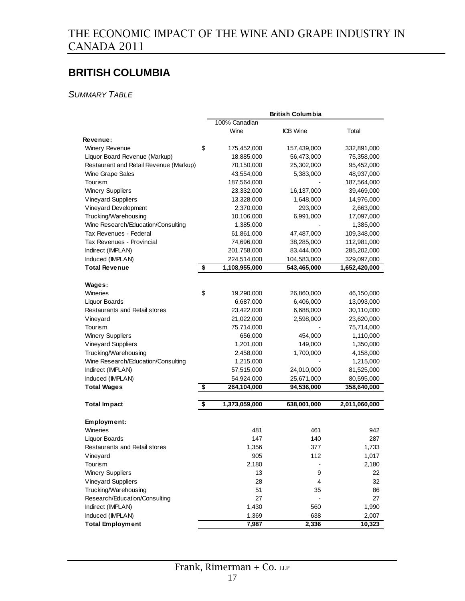## **BRITISH COLUMBIA**

*SUMMARY TABLE*

|                                        |                     | <b>British Columbia</b> |               |
|----------------------------------------|---------------------|-------------------------|---------------|
|                                        | 100% Canadian       |                         |               |
|                                        | Wine                | <b>ICB Wine</b>         | Total         |
| Revenue:                               |                     |                         |               |
| <b>Winery Revenue</b>                  | \$<br>175,452,000   | 157,439,000             | 332,891,000   |
| Liquor Board Revenue (Markup)          | 18,885,000          | 56,473,000              | 75,358,000    |
| Restaurant and Retail Revenue (Markup) | 70,150,000          | 25,302,000              | 95,452,000    |
| Wine Grape Sales                       | 43,554,000          | 5,383,000               | 48,937,000    |
| Tourism                                | 187,564,000         |                         | 187,564,000   |
| <b>Winery Suppliers</b>                | 23,332,000          | 16,137,000              | 39,469,000    |
| <b>Vineyard Suppliers</b>              | 13,328,000          | 1,648,000               | 14,976,000    |
| Vineyard Development                   | 2,370,000           | 293,000                 | 2,663,000     |
| Trucking/Warehousing                   | 10,106,000          | 6,991,000               | 17,097,000    |
| Wine Research/Education/Consulting     | 1,385,000           |                         | 1,385,000     |
| Tax Revenues - Federal                 | 61,861,000          | 47,487,000              | 109,348,000   |
| Tax Revenues - Provincial              | 74,696,000          | 38,285,000              | 112,981,000   |
| Indirect (IMPLAN)                      | 201,758,000         | 83,444,000              | 285,202,000   |
| Induced (IMPLAN)                       | 224,514,000         | 104,583,000             | 329,097,000   |
| <b>Total Revenue</b>                   | \$<br>1,108,955,000 | 543,465,000             | 1,652,420,000 |
|                                        |                     |                         |               |
| Wages:                                 |                     |                         |               |
| Wineries                               | \$<br>19,290,000    | 26,860,000              | 46,150,000    |
| Liquor Boards                          | 6,687,000           | 6,406,000               | 13,093,000    |
| Restaurants and Retail stores          | 23,422,000          | 6,688,000               | 30,110,000    |
| Vineyard                               | 21,022,000          | 2,598,000               | 23,620,000    |
| Tourism                                | 75,714,000          |                         | 75,714,000    |
| <b>Winery Suppliers</b>                | 656,000             | 454,000                 | 1,110,000     |
| <b>Vineyard Suppliers</b>              | 1,201,000           | 149,000                 | 1,350,000     |
| Trucking/Warehousing                   | 2,458,000           | 1,700,000               | 4,158,000     |
| Wine Research/Education/Consulting     | 1,215,000           |                         | 1,215,000     |
| Indirect (IMPLAN)                      | 57,515,000          | 24,010,000              | 81,525,000    |
| Induced (IMPLAN)                       | 54,924,000          | 25,671,000              | 80,595,000    |
| <b>Total Wages</b>                     | \$<br>264,104,000   | 94,536,000              | 358,640,000   |
|                                        |                     |                         |               |
| <b>Total Impact</b>                    | \$<br>1,373,059,000 | 638,001,000             | 2,011,060,000 |
| Employment:                            |                     |                         |               |
| Wineries                               | 481                 | 461                     | 942           |
| Liquor Boards                          | 147                 | 140                     | 287           |
| Restaurants and Retail stores          | 1,356               | 377                     | 1,733         |
| Vineyard                               | 905                 | 112                     | 1,017         |
| Tourism                                | 2,180               |                         | 2,180         |
| <b>Winery Suppliers</b>                | 13                  | 9                       | 22            |
| <b>Vineyard Suppliers</b>              | 28                  | 4                       | 32            |
| Trucking/Warehousing                   | 51                  | 35                      | 86            |
| Research/Education/Consulting          | 27                  |                         | 27            |
| Indirect (IMPLAN)                      | 1,430               | 560                     | 1,990         |
| Induced (IMPLAN)                       | 1,369               | 638                     | 2,007         |
| <b>Total Employment</b>                | 7,987               | 2,336                   | 10,323        |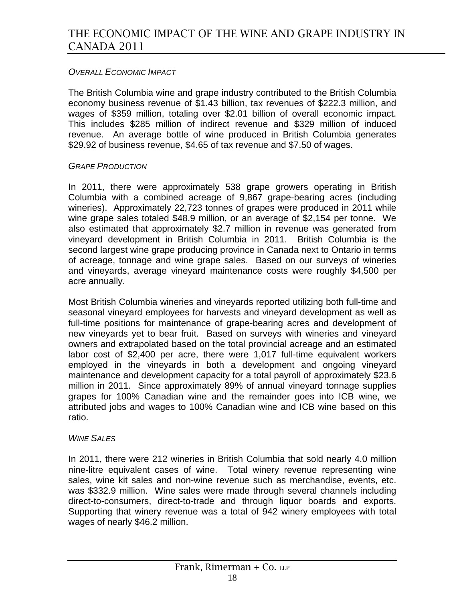### *OVERALL ECONOMIC IMPACT*

The British Columbia wine and grape industry contributed to the British Columbia economy business revenue of \$1.43 billion, tax revenues of \$222.3 million, and wages of \$359 million, totaling over \$2.01 billion of overall economic impact. This includes \$285 million of indirect revenue and \$329 million of induced revenue. An average bottle of wine produced in British Columbia generates \$29.92 of business revenue, \$4.65 of tax revenue and \$7.50 of wages.

#### *GRAPE PRODUCTION*

In 2011, there were approximately 538 grape growers operating in British Columbia with a combined acreage of 9,867 grape-bearing acres (including wineries). Approximately 22,723 tonnes of grapes were produced in 2011 while wine grape sales totaled \$48.9 million, or an average of \$2,154 per tonne. We also estimated that approximately \$2.7 million in revenue was generated from vineyard development in British Columbia in 2011. British Columbia is the second largest wine grape producing province in Canada next to Ontario in terms of acreage, tonnage and wine grape sales. Based on our surveys of wineries and vineyards, average vineyard maintenance costs were roughly \$4,500 per acre annually.

Most British Columbia wineries and vineyards reported utilizing both full-time and seasonal vineyard employees for harvests and vineyard development as well as full-time positions for maintenance of grape-bearing acres and development of new vineyards yet to bear fruit. Based on surveys with wineries and vineyard owners and extrapolated based on the total provincial acreage and an estimated labor cost of \$2,400 per acre, there were 1,017 full-time equivalent workers employed in the vineyards in both a development and ongoing vineyard maintenance and development capacity for a total payroll of approximately \$23.6 million in 2011. Since approximately 89% of annual vineyard tonnage supplies grapes for 100% Canadian wine and the remainder goes into ICB wine, we attributed jobs and wages to 100% Canadian wine and ICB wine based on this ratio.

#### *WINE SALES*

In 2011, there were 212 wineries in British Columbia that sold nearly 4.0 million nine-litre equivalent cases of wine. Total winery revenue representing wine sales, wine kit sales and non-wine revenue such as merchandise, events, etc. was \$332.9 million. Wine sales were made through several channels including direct-to-consumers, direct-to-trade and through liquor boards and exports. Supporting that winery revenue was a total of 942 winery employees with total wages of nearly \$46.2 million.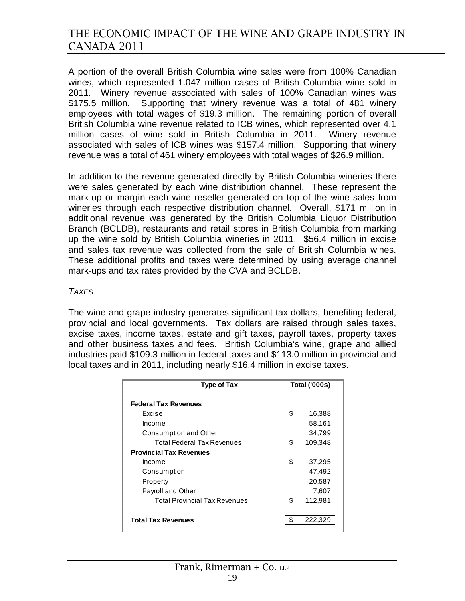A portion of the overall British Columbia wine sales were from 100% Canadian wines, which represented 1.047 million cases of British Columbia wine sold in 2011. Winery revenue associated with sales of 100% Canadian wines was \$175.5 million. Supporting that winery revenue was a total of 481 winery employees with total wages of \$19.3 million. The remaining portion of overall British Columbia wine revenue related to ICB wines, which represented over 4.1 million cases of wine sold in British Columbia in 2011. Winery revenue associated with sales of ICB wines was \$157.4 million. Supporting that winery revenue was a total of 461 winery employees with total wages of \$26.9 million.

In addition to the revenue generated directly by British Columbia wineries there were sales generated by each wine distribution channel. These represent the mark-up or margin each wine reseller generated on top of the wine sales from wineries through each respective distribution channel. Overall, \$171 million in additional revenue was generated by the British Columbia Liquor Distribution Branch (BCLDB), restaurants and retail stores in British Columbia from marking up the wine sold by British Columbia wineries in 2011. \$56.4 million in excise and sales tax revenue was collected from the sale of British Columbia wines. These additional profits and taxes were determined by using average channel mark-ups and tax rates provided by the CVA and BCLDB.

#### *TAXES*

The wine and grape industry generates significant tax dollars, benefiting federal, provincial and local governments. Tax dollars are raised through sales taxes, excise taxes, income taxes, estate and gift taxes, payroll taxes, property taxes and other business taxes and fees. British Columbia's wine, grape and allied industries paid \$109.3 million in federal taxes and \$113.0 million in provincial and local taxes and in 2011, including nearly \$16.4 million in excise taxes.

| <b>Type of Tax</b>                   | <b>Total ('000s)</b> |         |
|--------------------------------------|----------------------|---------|
| <b>Federal Tax Revenues</b>          |                      |         |
| Excise                               | \$                   | 16,388  |
| Income                               |                      | 58,161  |
| Consumption and Other                |                      | 34,799  |
| Total Federal Tax Revenues           | \$                   | 109,348 |
| <b>Provincial Tax Revenues</b>       |                      |         |
| Income                               | \$                   | 37,295  |
| Consumption                          |                      | 47,492  |
| Property                             |                      | 20,587  |
| Payroll and Other                    |                      | 7,607   |
| <b>Total Provincial Tax Revenues</b> | \$                   | 112,981 |
|                                      |                      |         |
| <b>Total Tax Revenues</b>            |                      | 222.329 |
|                                      |                      |         |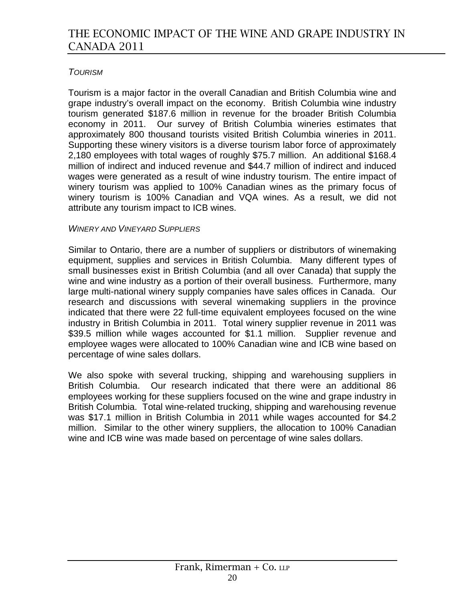### *TOURISM*

Tourism is a major factor in the overall Canadian and British Columbia wine and grape industry's overall impact on the economy. British Columbia wine industry tourism generated \$187.6 million in revenue for the broader British Columbia economy in 2011. Our survey of British Columbia wineries estimates that approximately 800 thousand tourists visited British Columbia wineries in 2011. Supporting these winery visitors is a diverse tourism labor force of approximately 2,180 employees with total wages of roughly \$75.7 million. An additional \$168.4 million of indirect and induced revenue and \$44.7 million of indirect and induced wages were generated as a result of wine industry tourism. The entire impact of winery tourism was applied to 100% Canadian wines as the primary focus of winery tourism is 100% Canadian and VQA wines. As a result, we did not attribute any tourism impact to ICB wines.

### *WINERY AND VINEYARD SUPPLIERS*

Similar to Ontario, there are a number of suppliers or distributors of winemaking equipment, supplies and services in British Columbia. Many different types of small businesses exist in British Columbia (and all over Canada) that supply the wine and wine industry as a portion of their overall business. Furthermore, many large multi-national winery supply companies have sales offices in Canada. Our research and discussions with several winemaking suppliers in the province indicated that there were 22 full-time equivalent employees focused on the wine industry in British Columbia in 2011. Total winery supplier revenue in 2011 was \$39.5 million while wages accounted for \$1.1 million. Supplier revenue and employee wages were allocated to 100% Canadian wine and ICB wine based on percentage of wine sales dollars.

We also spoke with several trucking, shipping and warehousing suppliers in British Columbia. Our research indicated that there were an additional 86 employees working for these suppliers focused on the wine and grape industry in British Columbia. Total wine-related trucking, shipping and warehousing revenue was \$17.1 million in British Columbia in 2011 while wages accounted for \$4.2 million. Similar to the other winery suppliers, the allocation to 100% Canadian wine and ICB wine was made based on percentage of wine sales dollars.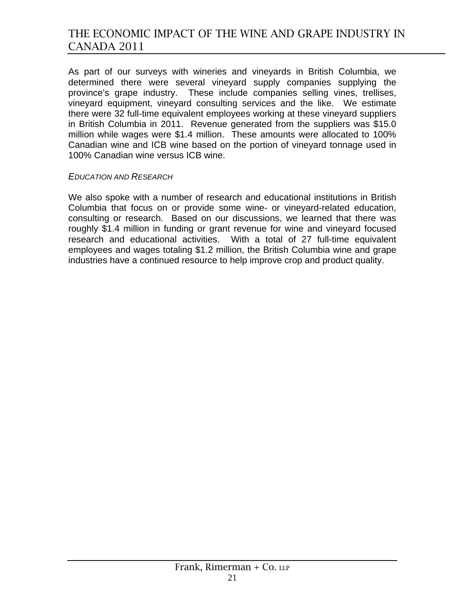As part of our surveys with wineries and vineyards in British Columbia, we determined there were several vineyard supply companies supplying the province's grape industry. These include companies selling vines, trellises, vineyard equipment, vineyard consulting services and the like. We estimate there were 32 full-time equivalent employees working at these vineyard suppliers in British Columbia in 2011. Revenue generated from the suppliers was \$15.0 million while wages were \$1.4 million. These amounts were allocated to 100% Canadian wine and ICB wine based on the portion of vineyard tonnage used in 100% Canadian wine versus ICB wine.

#### *EDUCATION AND RESEARCH*

We also spoke with a number of research and educational institutions in British Columbia that focus on or provide some wine- or vineyard-related education, consulting or research. Based on our discussions, we learned that there was roughly \$1.4 million in funding or grant revenue for wine and vineyard focused research and educational activities. With a total of 27 full-time equivalent employees and wages totaling \$1.2 million, the British Columbia wine and grape industries have a continued resource to help improve crop and product quality.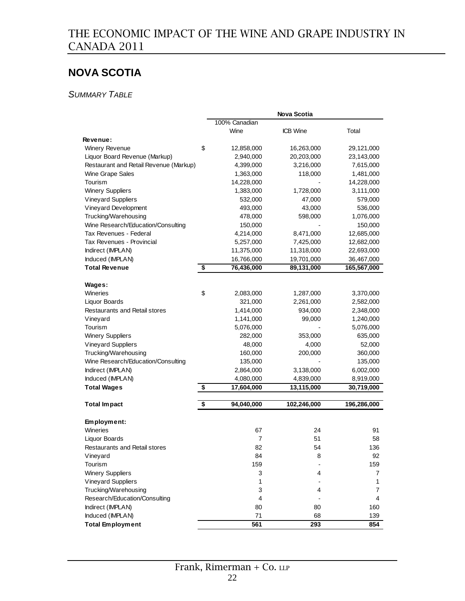# **NOVA SCOTIA**

*SUMMARY TABLE*

|                                        |                                  |               | Nova Scotia     |             |
|----------------------------------------|----------------------------------|---------------|-----------------|-------------|
|                                        |                                  | 100% Canadian |                 |             |
|                                        |                                  | Wine          | <b>ICB</b> Wine | Total       |
| Revenue:                               |                                  |               |                 |             |
| <b>Winery Revenue</b>                  | \$                               | 12,858,000    | 16,263,000      | 29,121,000  |
| Liquor Board Revenue (Markup)          |                                  | 2,940,000     | 20,203,000      | 23,143,000  |
| Restaurant and Retail Revenue (Markup) |                                  | 4,399,000     | 3,216,000       | 7,615,000   |
| Wine Grape Sales                       |                                  | 1,363,000     | 118,000         | 1,481,000   |
| Tourism                                |                                  | 14,228,000    |                 | 14,228,000  |
| <b>Winery Suppliers</b>                |                                  | 1,383,000     | 1,728,000       | 3,111,000   |
| <b>Vineyard Suppliers</b>              |                                  | 532,000       | 47,000          | 579,000     |
| Vineyard Development                   |                                  | 493,000       | 43,000          | 536,000     |
| Trucking/Warehousing                   |                                  | 478,000       | 598,000         | 1,076,000   |
| Wine Research/Education/Consulting     |                                  | 150,000       |                 | 150,000     |
| Tax Revenues - Federal                 |                                  | 4,214,000     | 8,471,000       | 12,685,000  |
| Tax Revenues - Provincial              |                                  | 5,257,000     | 7,425,000       | 12,682,000  |
| Indirect (IMPLAN)                      |                                  | 11,375,000    | 11,318,000      | 22,693,000  |
| Induced (IMPLAN)                       |                                  | 16,766,000    | 19,701,000      | 36,467,000  |
| <b>Total Revenue</b>                   | $\overline{\boldsymbol{\theta}}$ | 76,436,000    | 89,131,000      | 165,567,000 |
|                                        |                                  |               |                 |             |
| Wages:                                 |                                  |               |                 |             |
| Wineries                               | \$                               | 2,083,000     | 1,287,000       | 3,370,000   |
| Liquor Boards                          |                                  | 321,000       | 2,261,000       | 2,582,000   |
| Restaurants and Retail stores          |                                  | 1,414,000     | 934,000         | 2,348,000   |
| Vineyard                               |                                  | 1,141,000     | 99,000          | 1,240,000   |
| Tourism                                |                                  | 5,076,000     |                 | 5,076,000   |
| <b>Winery Suppliers</b>                |                                  | 282,000       | 353,000         | 635,000     |
| <b>Vineyard Suppliers</b>              |                                  | 48,000        | 4,000           | 52,000      |
| Trucking/Warehousing                   |                                  | 160,000       | 200,000         | 360,000     |
| Wine Research/Education/Consulting     |                                  | 135,000       |                 | 135,000     |
| Indirect (IMPLAN)                      |                                  | 2,864,000     | 3,138,000       | 6,002,000   |
| Induced (IMPLAN)                       |                                  | 4,080,000     | 4,839,000       | 8,919,000   |
| <b>Total Wages</b>                     | \$                               | 17,604,000    | 13,115,000      | 30,719,000  |
|                                        |                                  |               |                 |             |
| <b>Total Impact</b>                    | \$                               | 94,040,000    | 102,246,000     | 196,286,000 |
| Employment:                            |                                  |               |                 |             |
| Wineries                               |                                  | 67            | 24              | 91          |
| <b>Liquor Boards</b>                   |                                  | 7             | 51              | 58          |
| Restaurants and Retail stores          |                                  | 82            | 54              | 136         |
| Vineyard                               |                                  | 84            | 8               | 92          |
| Tourism                                |                                  | 159           |                 | 159         |
| <b>Winery Suppliers</b>                |                                  | 3             | 4               | 7           |
| Vineyard Suppliers                     |                                  | 1             |                 | 1           |
| Trucking/Warehousing                   |                                  | 3             | 4               | 7           |
| Research/Education/Consulting          |                                  | 4             |                 | 4           |
| Indirect (IMPLAN)                      |                                  | 80            | 80              | 160         |
| Induced (IMPLAN)                       |                                  | 71            | 68              | 139         |
| <b>Total Employment</b>                |                                  | 561           | 293             | 854         |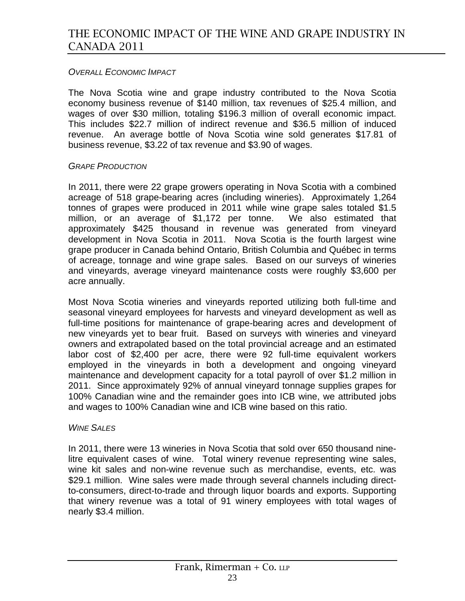### *OVERALL ECONOMIC IMPACT*

The Nova Scotia wine and grape industry contributed to the Nova Scotia economy business revenue of \$140 million, tax revenues of \$25.4 million, and wages of over \$30 million, totaling \$196.3 million of overall economic impact. This includes \$22.7 million of indirect revenue and \$36.5 million of induced revenue. An average bottle of Nova Scotia wine sold generates \$17.81 of business revenue, \$3.22 of tax revenue and \$3.90 of wages.

#### *GRAPE PRODUCTION*

In 2011, there were 22 grape growers operating in Nova Scotia with a combined acreage of 518 grape-bearing acres (including wineries). Approximately 1,264 tonnes of grapes were produced in 2011 while wine grape sales totaled \$1.5 million, or an average of \$1,172 per tonne. We also estimated that approximately \$425 thousand in revenue was generated from vineyard development in Nova Scotia in 2011. Nova Scotia is the fourth largest wine grape producer in Canada behind Ontario, British Columbia and Québec in terms of acreage, tonnage and wine grape sales. Based on our surveys of wineries and vineyards, average vineyard maintenance costs were roughly \$3,600 per acre annually.

Most Nova Scotia wineries and vineyards reported utilizing both full-time and seasonal vineyard employees for harvests and vineyard development as well as full-time positions for maintenance of grape-bearing acres and development of new vineyards yet to bear fruit. Based on surveys with wineries and vineyard owners and extrapolated based on the total provincial acreage and an estimated labor cost of \$2,400 per acre, there were 92 full-time equivalent workers employed in the vineyards in both a development and ongoing vineyard maintenance and development capacity for a total payroll of over \$1.2 million in 2011. Since approximately 92% of annual vineyard tonnage supplies grapes for 100% Canadian wine and the remainder goes into ICB wine, we attributed jobs and wages to 100% Canadian wine and ICB wine based on this ratio.

#### *WINE SALES*

In 2011, there were 13 wineries in Nova Scotia that sold over 650 thousand ninelitre equivalent cases of wine. Total winery revenue representing wine sales, wine kit sales and non-wine revenue such as merchandise, events, etc. was \$29.1 million. Wine sales were made through several channels including directto-consumers, direct-to-trade and through liquor boards and exports. Supporting that winery revenue was a total of 91 winery employees with total wages of nearly \$3.4 million.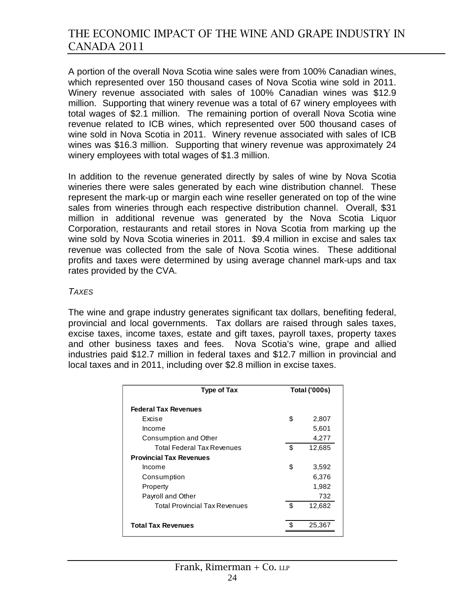A portion of the overall Nova Scotia wine sales were from 100% Canadian wines, which represented over 150 thousand cases of Nova Scotia wine sold in 2011. Winery revenue associated with sales of 100% Canadian wines was \$12.9 million. Supporting that winery revenue was a total of 67 winery employees with total wages of \$2.1 million. The remaining portion of overall Nova Scotia wine revenue related to ICB wines, which represented over 500 thousand cases of wine sold in Nova Scotia in 2011. Winery revenue associated with sales of ICB wines was \$16.3 million. Supporting that winery revenue was approximately 24 winery employees with total wages of \$1.3 million.

In addition to the revenue generated directly by sales of wine by Nova Scotia wineries there were sales generated by each wine distribution channel. These represent the mark-up or margin each wine reseller generated on top of the wine sales from wineries through each respective distribution channel. Overall, \$31 million in additional revenue was generated by the Nova Scotia Liquor Corporation, restaurants and retail stores in Nova Scotia from marking up the wine sold by Nova Scotia wineries in 2011. \$9.4 million in excise and sales tax revenue was collected from the sale of Nova Scotia wines. These additional profits and taxes were determined by using average channel mark-ups and tax rates provided by the CVA.

#### *TAXES*

The wine and grape industry generates significant tax dollars, benefiting federal, provincial and local governments. Tax dollars are raised through sales taxes, excise taxes, income taxes, estate and gift taxes, payroll taxes, property taxes and other business taxes and fees. Nova Scotia's wine, grape and allied industries paid \$12.7 million in federal taxes and \$12.7 million in provincial and local taxes and in 2011, including over \$2.8 million in excise taxes.

| <b>Type of Tax</b>                   |    | <b>Total ('000s)</b> |
|--------------------------------------|----|----------------------|
| <b>Federal Tax Revenues</b>          |    |                      |
| Excise                               | \$ | 2,807                |
| Income                               |    | 5,601                |
| Consumption and Other                |    | 4,277                |
| <b>Total Federal Tax Revenues</b>    | \$ | 12,685               |
| <b>Provincial Tax Revenues</b>       |    |                      |
| Income                               | \$ | 3,592                |
| Consumption                          |    | 6,376                |
| Property                             |    | 1,982                |
| Payroll and Other                    |    | 732                  |
| <b>Total Provincial Tax Revenues</b> | \$ | 12,682               |
|                                      |    |                      |
| <b>Total Tax Revenues</b>            |    | 25.36                |
|                                      |    |                      |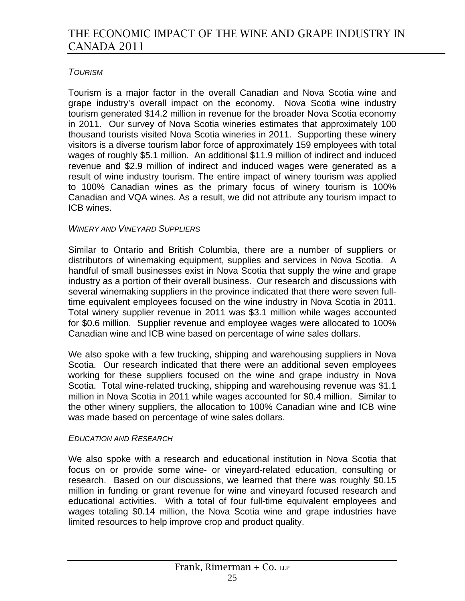### *TOURISM*

Tourism is a major factor in the overall Canadian and Nova Scotia wine and grape industry's overall impact on the economy. Nova Scotia wine industry tourism generated \$14.2 million in revenue for the broader Nova Scotia economy in 2011. Our survey of Nova Scotia wineries estimates that approximately 100 thousand tourists visited Nova Scotia wineries in 2011. Supporting these winery visitors is a diverse tourism labor force of approximately 159 employees with total wages of roughly \$5.1 million. An additional \$11.9 million of indirect and induced revenue and \$2.9 million of indirect and induced wages were generated as a result of wine industry tourism. The entire impact of winery tourism was applied to 100% Canadian wines as the primary focus of winery tourism is 100% Canadian and VQA wines. As a result, we did not attribute any tourism impact to ICB wines.

### *WINERY AND VINEYARD SUPPLIERS*

Similar to Ontario and British Columbia, there are a number of suppliers or distributors of winemaking equipment, supplies and services in Nova Scotia. A handful of small businesses exist in Nova Scotia that supply the wine and grape industry as a portion of their overall business. Our research and discussions with several winemaking suppliers in the province indicated that there were seven fulltime equivalent employees focused on the wine industry in Nova Scotia in 2011. Total winery supplier revenue in 2011 was \$3.1 million while wages accounted for \$0.6 million. Supplier revenue and employee wages were allocated to 100% Canadian wine and ICB wine based on percentage of wine sales dollars.

We also spoke with a few trucking, shipping and warehousing suppliers in Nova Scotia. Our research indicated that there were an additional seven employees working for these suppliers focused on the wine and grape industry in Nova Scotia. Total wine-related trucking, shipping and warehousing revenue was \$1.1 million in Nova Scotia in 2011 while wages accounted for \$0.4 million. Similar to the other winery suppliers, the allocation to 100% Canadian wine and ICB wine was made based on percentage of wine sales dollars.

### *EDUCATION AND RESEARCH*

We also spoke with a research and educational institution in Nova Scotia that focus on or provide some wine- or vineyard-related education, consulting or research. Based on our discussions, we learned that there was roughly \$0.15 million in funding or grant revenue for wine and vineyard focused research and educational activities. With a total of four full-time equivalent employees and wages totaling \$0.14 million, the Nova Scotia wine and grape industries have limited resources to help improve crop and product quality.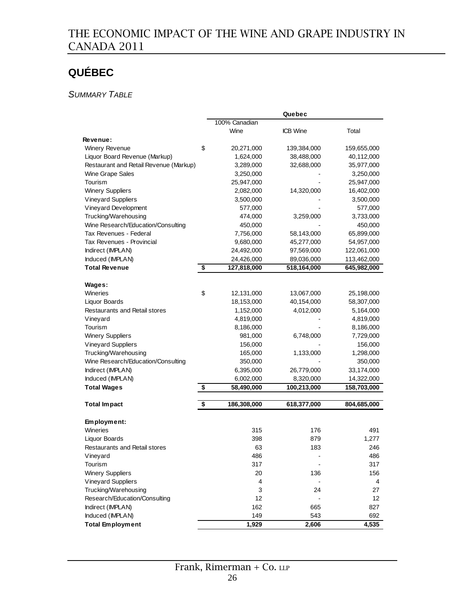# **QUÉBEC**

### *SUMMARY TABLE*

|                                        |                   | Quebec      |             |
|----------------------------------------|-------------------|-------------|-------------|
|                                        | 100% Canadian     |             |             |
|                                        | Wine              | ICB Wine    | Total       |
| <b>Revenue:</b>                        |                   |             |             |
| Winery Revenue                         | \$<br>20,271,000  | 139,384,000 | 159,655,000 |
| Liquor Board Revenue (Markup)          | 1,624,000         | 38,488,000  | 40,112,000  |
| Restaurant and Retail Revenue (Markup) | 3,289,000         | 32,688,000  | 35,977,000  |
| Wine Grape Sales                       | 3,250,000         |             | 3,250,000   |
| Tourism                                | 25,947,000        |             | 25,947,000  |
| <b>Winery Suppliers</b>                | 2,082,000         | 14,320,000  | 16,402,000  |
| <b>Vineyard Suppliers</b>              | 3,500,000         |             | 3,500,000   |
| Vineyard Development                   | 577,000           |             | 577,000     |
| Trucking/Warehousing                   | 474,000           | 3,259,000   | 3,733,000   |
| Wine Research/Education/Consulting     | 450,000           |             | 450,000     |
| Tax Revenues - Federal                 | 7,756,000         | 58,143,000  | 65,899,000  |
| Tax Revenues - Provincial              | 9,680,000         | 45,277,000  | 54,957,000  |
| Indirect (IMPLAN)                      | 24,492,000        | 97,569,000  | 122,061,000 |
| Induced (IMPLAN)                       | 24,426,000        | 89,036,000  | 113,462,000 |
| <b>Total Revenue</b>                   | \$<br>127,818,000 | 518,164,000 | 645,982,000 |
|                                        |                   |             |             |
| Wages:                                 |                   |             |             |
| Wineries                               | \$<br>12,131,000  | 13,067,000  | 25,198,000  |
| <b>Liquor Boards</b>                   | 18,153,000        | 40,154,000  | 58,307,000  |
| Restaurants and Retail stores          | 1,152,000         | 4,012,000   | 5,164,000   |
| Vineyard                               | 4,819,000         |             | 4,819,000   |
| Tourism                                | 8,186,000         |             | 8,186,000   |
| <b>Winery Suppliers</b>                | 981,000           | 6,748,000   | 7,729,000   |
| <b>Vineyard Suppliers</b>              | 156,000           |             | 156,000     |
| Trucking/Warehousing                   | 165,000           | 1,133,000   | 1,298,000   |
| Wine Research/Education/Consulting     | 350,000           |             | 350,000     |
| Indirect (IMPLAN)                      | 6,395,000         | 26,779,000  | 33,174,000  |
| Induced (IMPLAN)                       | 6,002,000         | 8,320,000   | 14,322,000  |
| <b>Total Wages</b>                     | \$<br>58,490,000  | 100,213,000 | 158,703,000 |
|                                        |                   |             |             |
| <b>Total Impact</b>                    | \$<br>186,308,000 | 618,377,000 | 804,685,000 |
| Employment:                            |                   |             |             |
| Wineries                               | 315               | 176         | 491         |
| Liquor Boards                          | 398               | 879         | 1,277       |
| <b>Restaurants and Retail stores</b>   | 63                | 183         | 246         |
| Vineyard                               | 486               |             | 486         |
| Tourism                                | 317               |             | 317         |
| <b>Winery Suppliers</b>                | 20                | 136         | 156         |
| <b>Vineyard Suppliers</b>              | 4                 |             | 4           |
| Trucking/Warehousing                   | 3                 | 24          | 27          |
| Research/Education/Consulting          | 12                |             | 12          |
| Indirect (IMPLAN)                      | 162               | 665         | 827         |
| Induced (IMPLAN)                       | 149               | 543         | 692         |
| <b>Total Employment</b>                | 1,929             | 2,606       | 4,535       |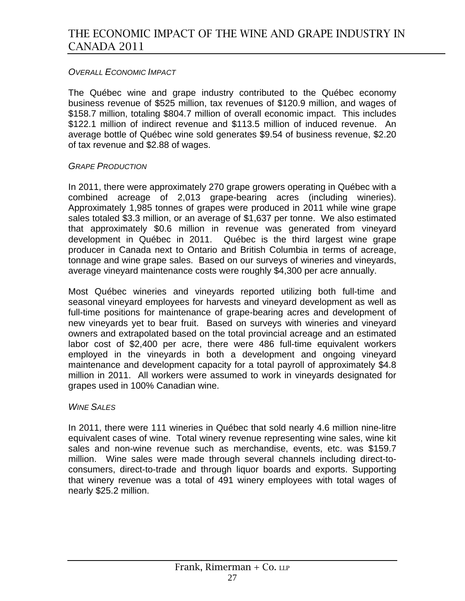### *OVERALL ECONOMIC IMPACT*

The Québec wine and grape industry contributed to the Québec economy business revenue of \$525 million, tax revenues of \$120.9 million, and wages of \$158.7 million, totaling \$804.7 million of overall economic impact. This includes \$122.1 million of indirect revenue and \$113.5 million of induced revenue. An average bottle of Québec wine sold generates \$9.54 of business revenue, \$2.20 of tax revenue and \$2.88 of wages.

### *GRAPE PRODUCTION*

In 2011, there were approximately 270 grape growers operating in Québec with a combined acreage of 2,013 grape-bearing acres (including wineries). Approximately 1,985 tonnes of grapes were produced in 2011 while wine grape sales totaled \$3.3 million, or an average of \$1,637 per tonne. We also estimated that approximately \$0.6 million in revenue was generated from vineyard development in Québec in 2011. Québec is the third largest wine grape producer in Canada next to Ontario and British Columbia in terms of acreage, tonnage and wine grape sales. Based on our surveys of wineries and vineyards, average vineyard maintenance costs were roughly \$4,300 per acre annually.

Most Québec wineries and vineyards reported utilizing both full-time and seasonal vineyard employees for harvests and vineyard development as well as full-time positions for maintenance of grape-bearing acres and development of new vineyards yet to bear fruit. Based on surveys with wineries and vineyard owners and extrapolated based on the total provincial acreage and an estimated labor cost of \$2,400 per acre, there were 486 full-time equivalent workers employed in the vineyards in both a development and ongoing vineyard maintenance and development capacity for a total payroll of approximately \$4.8 million in 2011. All workers were assumed to work in vineyards designated for grapes used in 100% Canadian wine.

### *WINE SALES*

In 2011, there were 111 wineries in Québec that sold nearly 4.6 million nine-litre equivalent cases of wine. Total winery revenue representing wine sales, wine kit sales and non-wine revenue such as merchandise, events, etc. was \$159.7 million. Wine sales were made through several channels including direct-toconsumers, direct-to-trade and through liquor boards and exports. Supporting that winery revenue was a total of 491 winery employees with total wages of nearly \$25.2 million.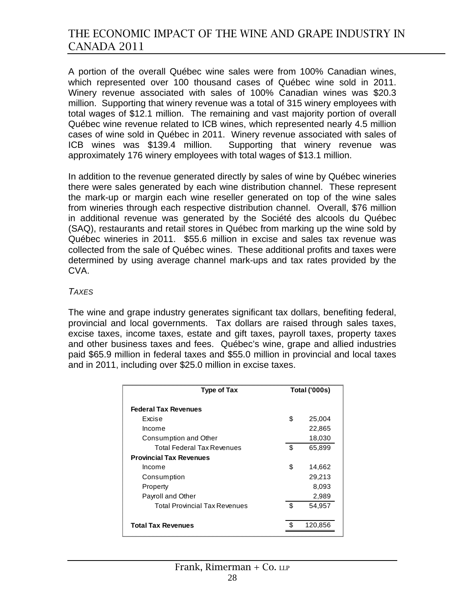A portion of the overall Québec wine sales were from 100% Canadian wines, which represented over 100 thousand cases of Québec wine sold in 2011. Winery revenue associated with sales of 100% Canadian wines was \$20.3 million. Supporting that winery revenue was a total of 315 winery employees with total wages of \$12.1 million. The remaining and vast majority portion of overall Québec wine revenue related to ICB wines, which represented nearly 4.5 million cases of wine sold in Québec in 2011. Winery revenue associated with sales of ICB wines was \$139.4 million. Supporting that winery revenue was approximately 176 winery employees with total wages of \$13.1 million.

In addition to the revenue generated directly by sales of wine by Québec wineries there were sales generated by each wine distribution channel. These represent the mark-up or margin each wine reseller generated on top of the wine sales from wineries through each respective distribution channel. Overall, \$76 million in additional revenue was generated by the Société des alcools du Québec (SAQ), restaurants and retail stores in Québec from marking up the wine sold by Québec wineries in 2011. \$55.6 million in excise and sales tax revenue was collected from the sale of Québec wines. These additional profits and taxes were determined by using average channel mark-ups and tax rates provided by the CVA.

#### *TAXES*

The wine and grape industry generates significant tax dollars, benefiting federal, provincial and local governments. Tax dollars are raised through sales taxes, excise taxes, income taxes, estate and gift taxes, payroll taxes, property taxes and other business taxes and fees. Québec's wine, grape and allied industries paid \$65.9 million in federal taxes and \$55.0 million in provincial and local taxes and in 2011, including over \$25.0 million in excise taxes.

| <b>Type of Tax</b>                   | <b>Total ('000s)</b> |         |
|--------------------------------------|----------------------|---------|
| <b>Federal Tax Revenues</b>          |                      |         |
| Excise                               | \$                   | 25,004  |
| Income                               |                      | 22,865  |
| Consumption and Other                |                      | 18,030  |
| Total Federal Tax Revenues           | \$                   | 65,899  |
| <b>Provincial Tax Revenues</b>       |                      |         |
| Income                               | \$                   | 14,662  |
| Consumption                          |                      | 29,213  |
| Property                             |                      | 8,093   |
| Payroll and Other                    |                      | 2,989   |
| <b>Total Provincial Tax Revenues</b> | \$                   | 54,957  |
|                                      |                      |         |
| <b>Total Tax Revenues</b>            |                      | 120.856 |
|                                      |                      |         |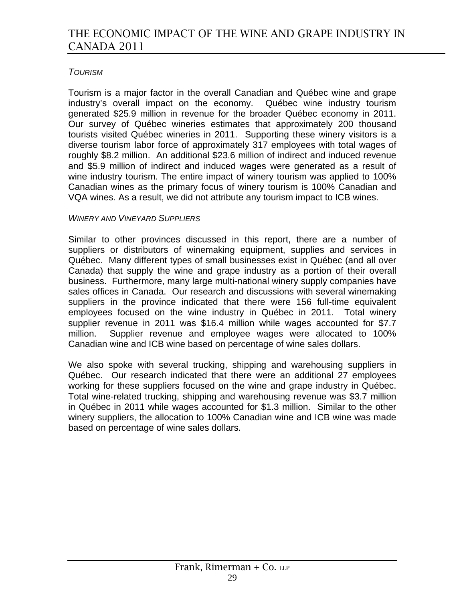### *TOURISM*

Tourism is a major factor in the overall Canadian and Québec wine and grape industry's overall impact on the economy. Québec wine industry tourism generated \$25.9 million in revenue for the broader Québec economy in 2011. Our survey of Québec wineries estimates that approximately 200 thousand tourists visited Québec wineries in 2011. Supporting these winery visitors is a diverse tourism labor force of approximately 317 employees with total wages of roughly \$8.2 million. An additional \$23.6 million of indirect and induced revenue and \$5.9 million of indirect and induced wages were generated as a result of wine industry tourism. The entire impact of winery tourism was applied to 100% Canadian wines as the primary focus of winery tourism is 100% Canadian and VQA wines. As a result, we did not attribute any tourism impact to ICB wines.

#### *WINERY AND VINEYARD SUPPLIERS*

Similar to other provinces discussed in this report, there are a number of suppliers or distributors of winemaking equipment, supplies and services in Québec. Many different types of small businesses exist in Québec (and all over Canada) that supply the wine and grape industry as a portion of their overall business. Furthermore, many large multi-national winery supply companies have sales offices in Canada. Our research and discussions with several winemaking suppliers in the province indicated that there were 156 full-time equivalent employees focused on the wine industry in Québec in 2011. Total winery supplier revenue in 2011 was \$16.4 million while wages accounted for \$7.7 million. Supplier revenue and employee wages were allocated to 100% Canadian wine and ICB wine based on percentage of wine sales dollars.

We also spoke with several trucking, shipping and warehousing suppliers in Québec. Our research indicated that there were an additional 27 employees working for these suppliers focused on the wine and grape industry in Québec. Total wine-related trucking, shipping and warehousing revenue was \$3.7 million in Québec in 2011 while wages accounted for \$1.3 million. Similar to the other winery suppliers, the allocation to 100% Canadian wine and ICB wine was made based on percentage of wine sales dollars.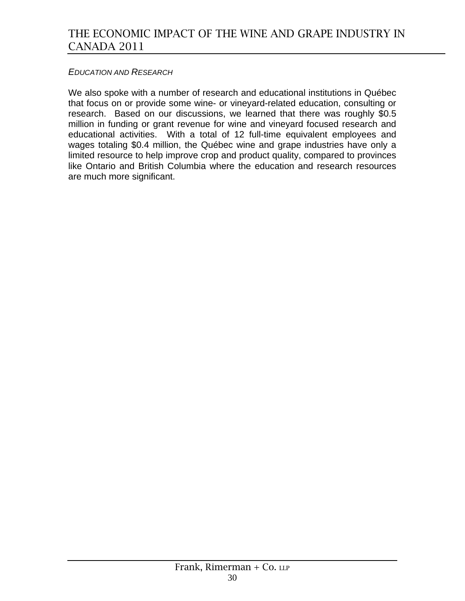#### *EDUCATION AND RESEARCH*

We also spoke with a number of research and educational institutions in Québec that focus on or provide some wine- or vineyard-related education, consulting or research. Based on our discussions, we learned that there was roughly \$0.5 million in funding or grant revenue for wine and vineyard focused research and educational activities. With a total of 12 full-time equivalent employees and wages totaling \$0.4 million, the Québec wine and grape industries have only a limited resource to help improve crop and product quality, compared to provinces like Ontario and British Columbia where the education and research resources are much more significant.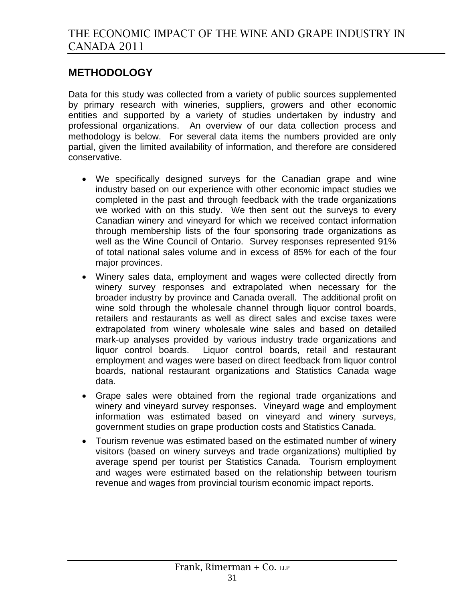# **METHODOLOGY**

Data for this study was collected from a variety of public sources supplemented by primary research with wineries, suppliers, growers and other economic entities and supported by a variety of studies undertaken by industry and professional organizations. An overview of our data collection process and methodology is below. For several data items the numbers provided are only partial, given the limited availability of information, and therefore are considered conservative.

- We specifically designed surveys for the Canadian grape and wine industry based on our experience with other economic impact studies we completed in the past and through feedback with the trade organizations we worked with on this study. We then sent out the surveys to every Canadian winery and vineyard for which we received contact information through membership lists of the four sponsoring trade organizations as well as the Wine Council of Ontario. Survey responses represented 91% of total national sales volume and in excess of 85% for each of the four major provinces.
- Winery sales data, employment and wages were collected directly from winery survey responses and extrapolated when necessary for the broader industry by province and Canada overall. The additional profit on wine sold through the wholesale channel through liquor control boards, retailers and restaurants as well as direct sales and excise taxes were extrapolated from winery wholesale wine sales and based on detailed mark-up analyses provided by various industry trade organizations and liquor control boards. Liquor control boards, retail and restaurant employment and wages were based on direct feedback from liquor control boards, national restaurant organizations and Statistics Canada wage data.
- Grape sales were obtained from the regional trade organizations and winery and vineyard survey responses. Vineyard wage and employment information was estimated based on vineyard and winery surveys, government studies on grape production costs and Statistics Canada.
- Tourism revenue was estimated based on the estimated number of winery visitors (based on winery surveys and trade organizations) multiplied by average spend per tourist per Statistics Canada. Tourism employment and wages were estimated based on the relationship between tourism revenue and wages from provincial tourism economic impact reports.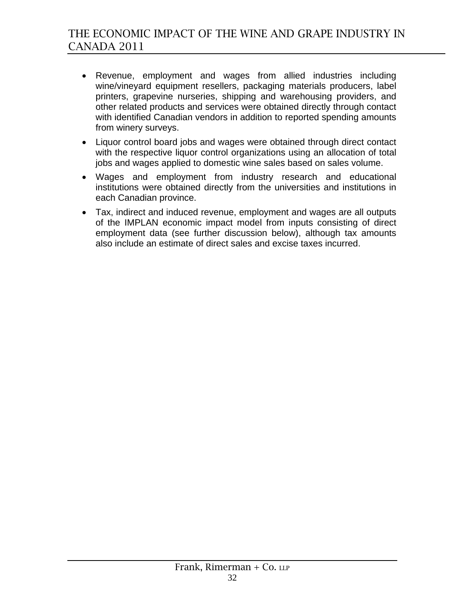- Revenue, employment and wages from allied industries including wine/vineyard equipment resellers, packaging materials producers, label printers, grapevine nurseries, shipping and warehousing providers, and other related products and services were obtained directly through contact with identified Canadian vendors in addition to reported spending amounts from winery surveys.
- Liquor control board jobs and wages were obtained through direct contact with the respective liquor control organizations using an allocation of total jobs and wages applied to domestic wine sales based on sales volume.
- Wages and employment from industry research and educational institutions were obtained directly from the universities and institutions in each Canadian province.
- Tax, indirect and induced revenue, employment and wages are all outputs of the IMPLAN economic impact model from inputs consisting of direct employment data (see further discussion below), although tax amounts also include an estimate of direct sales and excise taxes incurred.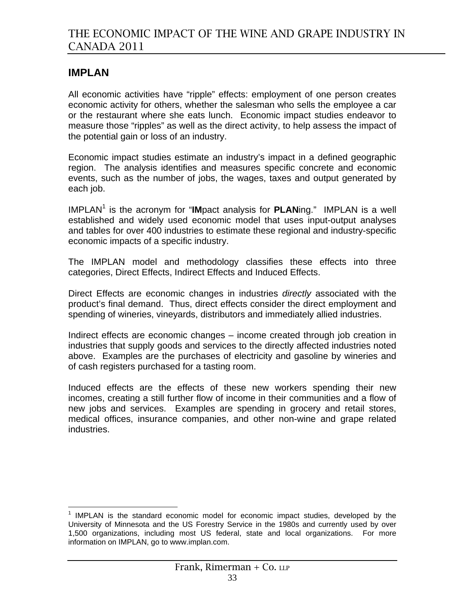# **IMPLAN**

All economic activities have "ripple" effects: employment of one person creates economic activity for others, whether the salesman who sells the employee a car or the restaurant where she eats lunch. Economic impact studies endeavor to measure those "ripples" as well as the direct activity, to help assess the impact of the potential gain or loss of an industry.

Economic impact studies estimate an industry's impact in a defined geographic region. The analysis identifies and measures specific concrete and economic events, such as the number of jobs, the wages, taxes and output generated by each job.

IMPLAN<sup>1</sup> is the acronym for "IMpact analysis for PLANing." IMPLAN is a well established and widely used economic model that uses input-output analyses and tables for over 400 industries to estimate these regional and industry-specific economic impacts of a specific industry.

The IMPLAN model and methodology classifies these effects into three categories, Direct Effects, Indirect Effects and Induced Effects.

Direct Effects are economic changes in industries *directly* associated with the product's final demand. Thus, direct effects consider the direct employment and spending of wineries, vineyards, distributors and immediately allied industries.

Indirect effects are economic changes – income created through job creation in industries that supply goods and services to the directly affected industries noted above. Examples are the purchases of electricity and gasoline by wineries and of cash registers purchased for a tasting room.

Induced effects are the effects of these new workers spending their new incomes, creating a still further flow of income in their communities and a flow of new jobs and services. Examples are spending in grocery and retail stores, medical offices, insurance companies, and other non-wine and grape related industries.

<sup>&</sup>lt;u>.</u>  $1$  IMPLAN is the standard economic model for economic impact studies, developed by the University of Minnesota and the US Forestry Service in the 1980s and currently used by over 1,500 organizations, including most US federal, state and local organizations. For more information on IMPLAN, go to www.implan.com.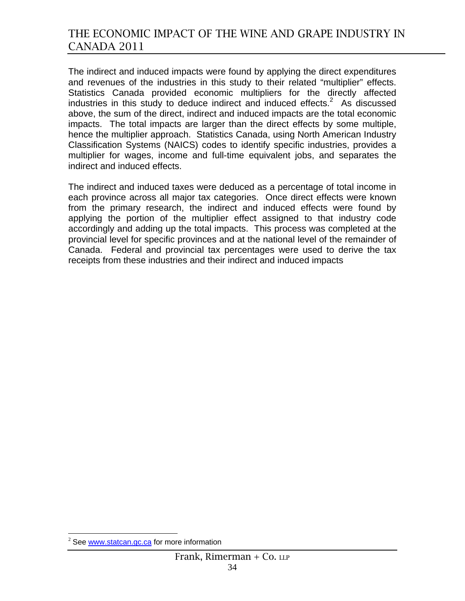The indirect and induced impacts were found by applying the direct expenditures and revenues of the industries in this study to their related "multiplier" effects. Statistics Canada provided economic multipliers for the directly affected industries in this study to deduce indirect and induced effects. $2$  As discussed above, the sum of the direct, indirect and induced impacts are the total economic impacts. The total impacts are larger than the direct effects by some multiple, hence the multiplier approach. Statistics Canada, using North American Industry Classification Systems (NAICS) codes to identify specific industries, provides a multiplier for wages, income and full-time equivalent jobs, and separates the indirect and induced effects.

The indirect and induced taxes were deduced as a percentage of total income in each province across all major tax categories. Once direct effects were known from the primary research, the indirect and induced effects were found by applying the portion of the multiplier effect assigned to that industry code accordingly and adding up the total impacts. This process was completed at the provincial level for specific provinces and at the national level of the remainder of Canada. Federal and provincial tax percentages were used to derive the tax receipts from these industries and their indirect and induced impacts

 $\overline{a}$ 

 $2$  See www.statcan.gc.ca for more information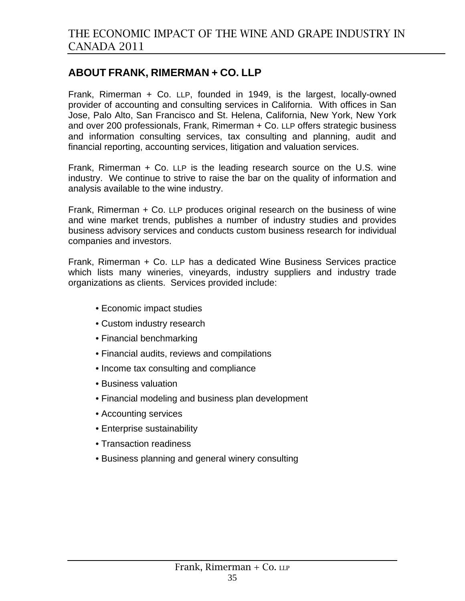# **ABOUT FRANK, RIMERMAN + CO. LLP**

Frank, Rimerman + Co. LLP, founded in 1949, is the largest, locally-owned provider of accounting and consulting services in California. With offices in San Jose, Palo Alto, San Francisco and St. Helena, California, New York, New York and over 200 professionals, Frank, Rimerman + Co. LLP offers strategic business and information consulting services, tax consulting and planning, audit and financial reporting, accounting services, litigation and valuation services.

Frank, Rimerman + Co. LLP is the leading research source on the U.S. wine industry. We continue to strive to raise the bar on the quality of information and analysis available to the wine industry.

Frank, Rimerman + Co. LLP produces original research on the business of wine and wine market trends, publishes a number of industry studies and provides business advisory services and conducts custom business research for individual companies and investors.

Frank, Rimerman + Co. LLP has a dedicated Wine Business Services practice which lists many wineries, vineyards, industry suppliers and industry trade organizations as clients. Services provided include:

- Economic impact studies
- Custom industry research
- Financial benchmarking
- Financial audits, reviews and compilations
- Income tax consulting and compliance
- Business valuation
- Financial modeling and business plan development
- Accounting services
- Enterprise sustainability
- Transaction readiness
- Business planning and general winery consulting